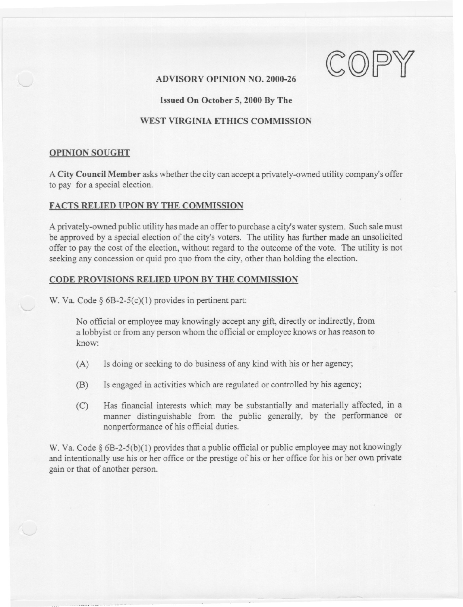ADVISORY OPINION NO. 2000-26

-- -

### Issued On October 5, 2000 By The

# WEST VIRGINIA ETHICS COMMISSION

### OPINION SOUGHT

A City Council Member asks whether the city can accept a privately-owned utility company's offer to pay for a special election.

# FACTS RELIED UPON BY THE COMMISSION

A privately-owned public utility has made an offer to purchase a city's water system. Such sale must be approved by a special election of the city's voters. The utility has further made an unsolicited offer to pay the cost of the election, without regard to the outcome of the vote. The utility is not seeking any concession or quid pro quo from the city, other than holding the election.

# CODE PROVISIONS RELIED UPON BY THE COMMISSION

W. Va. Code § 6B-2-5(c)(1) provides in pertinent part:

.---

No official or employee may knowingly accept any gift, directly or indirectly, from a lobbyist or from any person whom the official or employee knows or has reason to know:

- (A) Is doing or seeking to do business of any kind with his or her agency;
- (B) Is engaged in activities which are regulated or controlled by his agency;
- (C) Has financial interests which may be substantially and materially affected, in a manner distinguishable from the public generally, by the performance or nonperformance of his official duties.

W. Va. Code § 6B-2-5(b)(1) provides that a public official or public employee may not knowingly and intentionally use his or her office or the prestige of his or her office for his or her own private gain or that of another person.